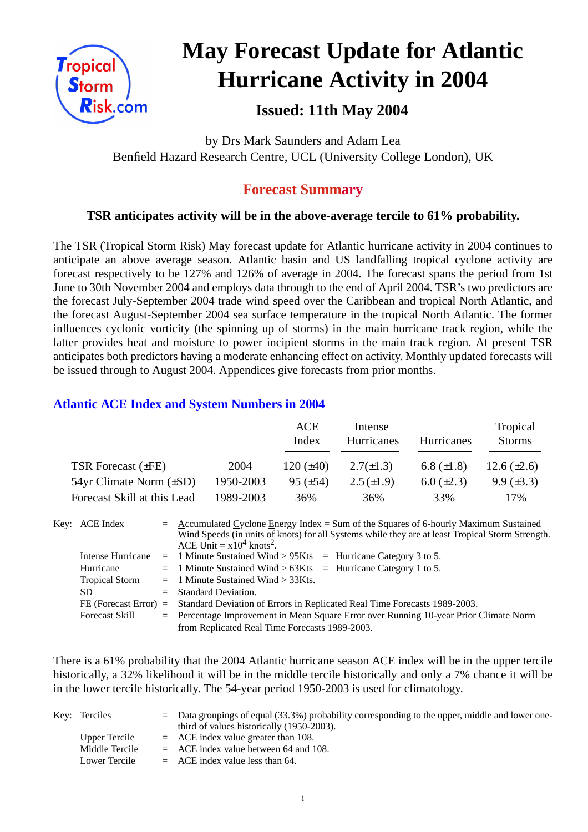

# **May Forecast Update for Atlantic Hurricane Activity in 2004**

# **Issued: 11th May 2004**

by Drs Mark Saunders and Adam Lea Benfield Hazard Research Centre, UCL (University College London), UK

## **Forecast Summary**

## **TSR anticipates activity will be in the above-average tercile to 61% probability.**

The TSR (Tropical Storm Risk) May forecast update for Atlantic hurricane activity in 2004 continues to anticipate an above average season. Atlantic basin and US landfalling tropical cyclone activity are forecast respectively to be 127% and 126% of average in 2004. The forecast spans the period from 1st June to 30th November 2004 and employs data through to the end of April 2004. TSR's two predictors are the forecast July-September 2004 trade wind speed over the Caribbean and tropical North Atlantic, and the forecast August-September 2004 sea surface temperature in the tropical North Atlantic. The former influences cyclonic vorticity (the spinning up of storms) in the main hurricane track region, while the latter provides heat and moisture to power incipient storms in the main track region. At present TSR anticipates both predictors having a moderate enhancing effect on activity. Monthly updated forecasts will be issued through to August 2004. Appendices give forecasts from prior months.

## **Atlantic ACE Index and System Numbers in 2004**

|                              |           | ACE<br>Index   | Intense<br>Hurricanes | <b>Hurricanes</b> | Tropical<br><b>Storms</b> |
|------------------------------|-----------|----------------|-----------------------|-------------------|---------------------------|
| TSR Forecast $(\pm FE)$      | 2004      | 120 $(\pm 40)$ | $2.7(\pm 1.3)$        | 6.8 $(\pm 1.8)$   | 12.6 $(\pm 2.6)$          |
| 54yr Climate Norm $(\pm SD)$ | 1950-2003 | $95 (\pm 54)$  | $2.5(\pm 1.9)$        | $6.0 \ (\pm 2.3)$ | $9.9 \ (\pm 3.3)$         |
| Forecast Skill at this Lead  | 1989-2003 | 36%            | 36%                   | 33%               | 17%                       |

| Key: ACE Index        | $=$ Accumulated Cyclone Energy Index = Sum of the Squares of 6-hourly Maximum Sustained<br>Wind Speeds (in units of knots) for all Systems while they are at least Tropical Storm Strength.<br>ACE Unit = $x10^4$ knots <sup>2</sup> . |
|-----------------------|----------------------------------------------------------------------------------------------------------------------------------------------------------------------------------------------------------------------------------------|
|                       | Intense Hurricane = 1 Minute Sustained Wind > $95Kts$ = Hurricane Category 3 to 5.                                                                                                                                                     |
| Hurricane             | $=$ 1 Minute Sustained Wind > 63Kts $=$ Hurricane Category 1 to 5.                                                                                                                                                                     |
| <b>Tropical Storm</b> | $=$ 1 Minute Sustained Wind $>$ 33Kts.                                                                                                                                                                                                 |
| SD.                   | $=$ Standard Deviation.                                                                                                                                                                                                                |
|                       | FE (Forecast Error) = Standard Deviation of Errors in Replicated Real Time Forecasts 1989-2003.                                                                                                                                        |
| <b>Forecast Skill</b> | = Percentage Improvement in Mean Square Error over Running 10-year Prior Climate Norm                                                                                                                                                  |
|                       | from Replicated Real Time Forecasts 1989-2003.                                                                                                                                                                                         |

There is a 61% probability that the 2004 Atlantic hurricane season ACE index will be in the upper tercile historically, a 32% likelihood it will be in the middle tercile historically and only a 7% chance it will be in the lower tercile historically. The 54-year period 1950-2003 is used for climatology.

| Key: Terciles  | $\epsilon$ Data groupings of equal (33.3%) probability corresponding to the upper, middle and lower one-<br>third of values historically (1950-2003). |
|----------------|-------------------------------------------------------------------------------------------------------------------------------------------------------|
| Upper Tercile  | $=$ ACE index value greater than 108.                                                                                                                 |
| Middle Tercile | $=$ ACE index value between 64 and 108.                                                                                                               |
| Lower Tercile  | $=$ ACE index value less than 64.                                                                                                                     |

1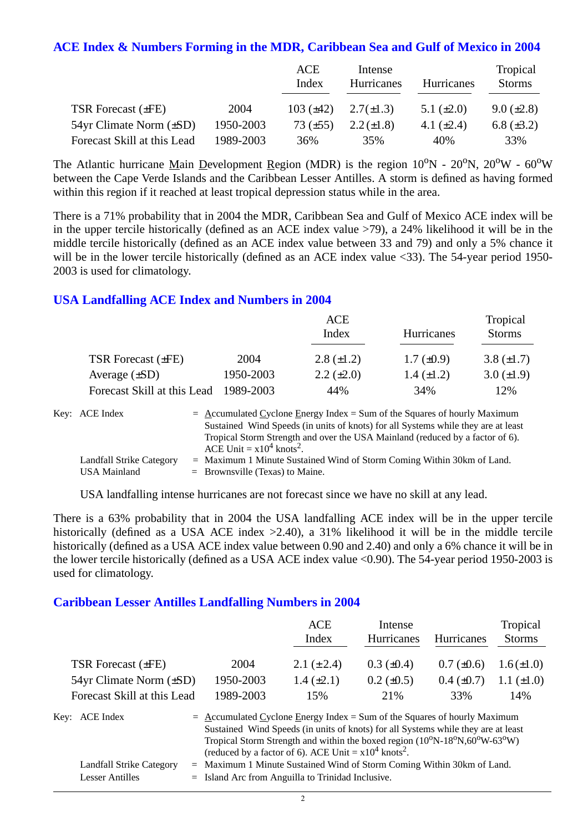#### **ACE Index & Numbers Forming in the MDR, Caribbean Sea and Gulf of Mexico in 2004**

|                                |           | ACE<br>Index   | Intense<br>Hurricanes | Hurricanes      | Tropical<br><b>Storms</b> |
|--------------------------------|-----------|----------------|-----------------------|-----------------|---------------------------|
| TSR Forecast $(\pm FE)$        | 2004      | $103 (\pm 42)$ | $2.7(\pm 1.3)$        | 5.1 $(\pm 2.0)$ | $9.0 \ (\pm 2.8)$         |
| $54yr$ Climate Norm $(\pm SD)$ | 1950-2003 | 73 $(\pm 55)$  | $2.2 (\pm 1.8)$       | 4.1 $(\pm 2.4)$ | 6.8 $(\pm 3.2)$           |
| Forecast Skill at this Lead    | 1989-2003 | 36%            | 35%                   | 40%             | 33%                       |

The Atlantic hurricane Main Development Region (MDR) is the region  $10^{\circ}N$  -  $20^{\circ}N$ ,  $20^{\circ}W$  -  $60^{\circ}W$ between the Cape Verde Islands and the Caribbean Lesser Antilles. A storm is defined as having formed within this region if it reached at least tropical depression status while in the area.

There is a 71% probability that in 2004 the MDR, Caribbean Sea and Gulf of Mexico ACE index will be in the upper tercile historically (defined as an ACE index value >79), a 24% likelihood it will be in the middle tercile historically (defined as an ACE index value between 33 and 79) and only a 5% chance it will be in the lower tercile historically (defined as an ACE index value <33). The 54-year period 1950-2003 is used for climatology.

### **USA Landfalling ACE Index and Numbers in 2004**

|                             |           | ACE<br>Index      | Hurricanes        | Tropical<br><b>Storms</b> |
|-----------------------------|-----------|-------------------|-------------------|---------------------------|
| TSR Forecast $(\pm FE)$     | 2004      | $2.8 (\pm 1.2)$   | $1.7 \ (\pm 0.9)$ | 3.8 $(\pm 1.7)$           |
| Average $(\pm SD)$          | 1950-2003 | $2.2 \ (\pm 2.0)$ | $1.4 \ (\pm 1.2)$ | $3.0 (\pm 1.9)$           |
| Forecast Skill at this Lead | 1989-2003 | 44%               | 34%               | 12%                       |

| Key: ACE Index                  | $=$ Accumulated Cyclone Energy Index $=$ Sum of the Squares of hourly Maximum                                            |
|---------------------------------|--------------------------------------------------------------------------------------------------------------------------|
|                                 | Sustained Wind Speeds (in units of knots) for all Systems while they are at least                                        |
|                                 | Tropical Storm Strength and over the USA Mainland (reduced by a factor of 6).<br>ACE Unit = $x10^4$ knots <sup>2</sup> . |
| <b>Landfall Strike Category</b> | $=$ Maximum 1 Minute Sustained Wind of Storm Coming Within 30km of Land.                                                 |
| USA Mainland                    | $=$ Brownsville (Texas) to Maine.                                                                                        |

USA landfalling intense hurricanes are not forecast since we have no skill at any lead.

There is a 63% probability that in 2004 the USA landfalling ACE index will be in the upper tercile historically (defined as a USA ACE index  $>2.40$ ), a 31% likelihood it will be in the middle tercile historically (defined as a USA ACE index value between 0.90 and 2.40) and only a 6% chance it will be in the lower tercile historically (defined as a USA ACE index value <0.90). The 54-year period 1950-2003 is used for climatology.

#### **Caribbean Lesser Antilles Landfalling Numbers in 2004**

|                                                             |                                                                                                                                                                                                                                                                                                                                                                                              | ACE<br>Index    | Intense<br>Hurricanes | <b>Hurricanes</b> | Tropical<br><b>Storms</b> |
|-------------------------------------------------------------|----------------------------------------------------------------------------------------------------------------------------------------------------------------------------------------------------------------------------------------------------------------------------------------------------------------------------------------------------------------------------------------------|-----------------|-----------------------|-------------------|---------------------------|
| <b>TSR Forecast (±FE)</b>                                   | 2004                                                                                                                                                                                                                                                                                                                                                                                         | 2.1 $(\pm 2.4)$ | $0.3 \ (\pm 0.4)$     | $0.7 (\pm 0.6)$   | $1.6(\pm 1.0)$            |
| 54yr Climate Norm (±SD)                                     | 1950-2003                                                                                                                                                                                                                                                                                                                                                                                    | $1.4 (\pm 2.1)$ | $0.2 \ (\pm 0.5)$     | $0.4~(\pm 0.7)$   | 1.1 $(\pm 1.0)$           |
| Forecast Skill at this Lead                                 | 1989-2003                                                                                                                                                                                                                                                                                                                                                                                    | 15%             | 21%                   | 33%               | 14%                       |
| Key:<br><b>ACE</b> Index<br>Landfall Strike Category<br>$=$ | $=$ Accumulated Cyclone Energy Index = Sum of the Squares of hourly Maximum<br>Sustained Wind Speeds (in units of knots) for all Systems while they are at least<br>Tropical Storm Strength and within the boxed region (10°N-18°N,60°W-63°W)<br>(reduced by a factor of 6). ACE Unit = $x10^4$ knots <sup>2</sup> .<br>Maximum 1 Minute Sustained Wind of Storm Coming Within 30km of Land. |                 |                       |                   |                           |

Lesser Antilles = Island Arc from Anguilla to Trinidad Inclusive.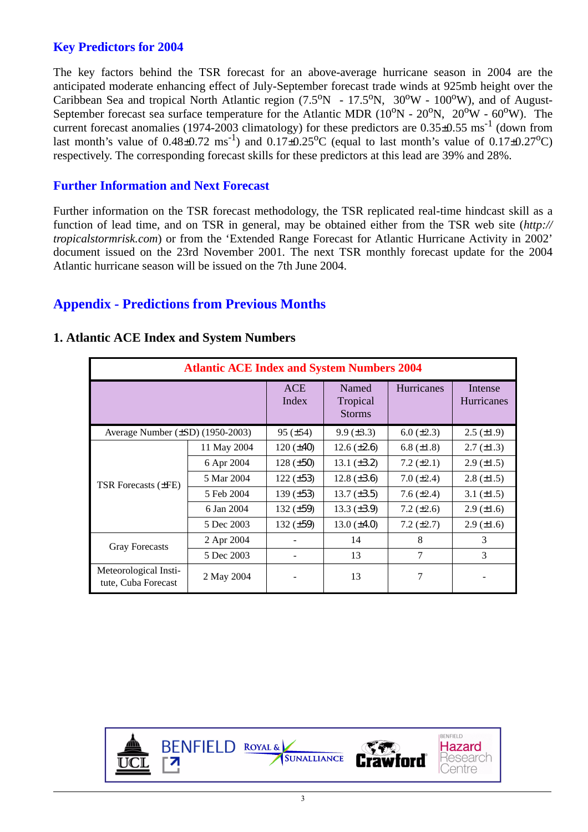## **Key Predictors for 2004**

The key factors behind the TSR forecast for an above-average hurricane season in 2004 are the anticipated moderate enhancing effect of July-September forecast trade winds at 925mb height over the Caribbean Sea and tropical North Atlantic region  $(7.5^{\circ}N - 17.5^{\circ}N, 30^{\circ}W - 100^{\circ}W)$ , and of August-September forecast sea surface temperature for the Atlantic MDR  $(10^{\circ}N - 20^{\circ}N, 20^{\circ}W - 60^{\circ}W)$ . The current forecast anomalies (1974-2003 climatology) for these predictors are  $0.35\pm0.55$  ms<sup>-1</sup> (down from last month's value of  $0.48\pm0.72$  ms<sup>-1</sup>) and  $0.17\pm0.25$ °C (equal to last month's value of  $0.17\pm0.27$ °C) respectively. The corresponding forecast skills for these predictors at this lead are 39% and 28%.

### **Further Information and Next Forecast**

Further information on the TSR forecast methodology, the TSR replicated real-time hindcast skill as a function of lead time, and on TSR in general, may be obtained either from the TSR web site (*http:// tropicalstormrisk.com*) or from the 'Extended Range Forecast for Atlantic Hurricane Activity in 2002' document issued on the 23rd November 2001. The next TSR monthly forecast update for the 2004 Atlantic hurricane season will be issued on the 7th June 2004.

## **Appendix - Predictions from Previous Months**

|                                              | <b>Atlantic ACE Index and System Numbers 2004</b> |                     |                                    |                   |                              |  |  |  |  |
|----------------------------------------------|---------------------------------------------------|---------------------|------------------------------------|-------------------|------------------------------|--|--|--|--|
|                                              |                                                   | <b>ACE</b><br>Index | Named<br>Tropical<br><b>Storms</b> | <b>Hurricanes</b> | Intense<br><b>Hurricanes</b> |  |  |  |  |
| Average Number $(\pm SD)$ (1950-2003)        |                                                   | $95 (\pm 54)$       | $9.9 \ (\pm 3.3)$                  | $6.0 (\pm 2.3)$   | $2.5 \ (\pm 1.9)$            |  |  |  |  |
|                                              | 11 May 2004                                       | $120 (\pm 40)$      | $12.6 (\pm 2.6)$                   | 6.8 $(\pm 1.8)$   | $2.7 \ (\pm 1.3)$            |  |  |  |  |
|                                              | 6 Apr 2004                                        | $128 (\pm 50)$      | 13.1 $(\pm 3.2)$                   | $7.2 (\pm 2.1)$   | $2.9 \ (\pm 1.5)$            |  |  |  |  |
| TSR Forecasts $(\pm FE)$                     | 5 Mar 2004                                        | $122 (\pm 53)$      | 12.8 $(\pm 3.6)$                   | $7.0 (\pm 2.4)$   | $2.8 \ (\pm 1.5)$            |  |  |  |  |
|                                              | 5 Feb 2004                                        | 139 $(\pm 53)$      | $13.7 (\pm 3.5)$                   | 7.6 $(\pm 2.4)$   | 3.1 $(\pm 1.5)$              |  |  |  |  |
|                                              | 6 Jan 2004                                        | 132 $(\pm 59)$      | 13.3 $(\pm 3.9)$                   | 7.2 $(\pm 2.6)$   | $2.9 \ (\pm 1.6)$            |  |  |  |  |
|                                              | 5 Dec 2003                                        | 132 $(\pm 59)$      | $13.0 (\pm 4.0)$                   | 7.2 $(\pm 2.7)$   | $2.9 \ (\pm 1.6)$            |  |  |  |  |
| <b>Gray Forecasts</b>                        | 2 Apr 2004                                        |                     | 14                                 | 8                 | 3                            |  |  |  |  |
|                                              | 5 Dec 2003                                        |                     | 13                                 | 7                 | 3                            |  |  |  |  |
| Meteorological Insti-<br>tute, Cuba Forecast | 2 May 2004                                        |                     | 13                                 | 7                 |                              |  |  |  |  |

#### **1. Atlantic ACE Index and System Numbers**